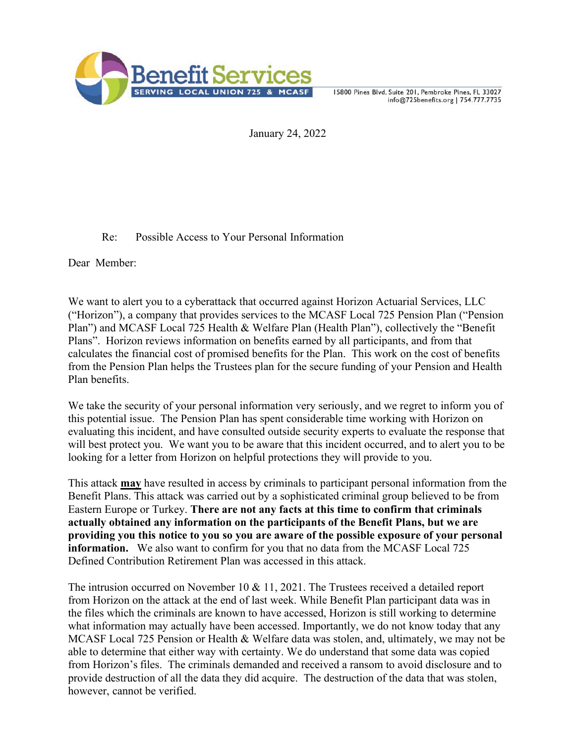

15800 Pines Blvd, Suite 201, Pembroke Pines, FL 33027 info@725benefits.org | 754.777.7735

January 24, 2022

## Re: Possible Access to Your Personal Information

Dear Member:

We want to alert you to a cyberattack that occurred against Horizon Actuarial Services, LLC ("Horizon"), a company that provides services to the MCASF Local 725 Pension Plan ("Pension Plan") and MCASF Local 725 Health & Welfare Plan (Health Plan"), collectively the "Benefit Plans". Horizon reviews information on benefits earned by all participants, and from that calculates the financial cost of promised benefits for the Plan. This work on the cost of benefits from the Pension Plan helps the Trustees plan for the secure funding of your Pension and Health Plan benefits.

We take the security of your personal information very seriously, and we regret to inform you of this potential issue. The Pension Plan has spent considerable time working with Horizon on evaluating this incident, and have consulted outside security experts to evaluate the response that will best protect you. We want you to be aware that this incident occurred, and to alert you to be looking for a letter from Horizon on helpful protections they will provide to you.

This attack **may** have resulted in access by criminals to participant personal information from the Benefit Plans. This attack was carried out by a sophisticated criminal group believed to be from Eastern Europe or Turkey. **There are not any facts at this time to confirm that criminals actually obtained any information on the participants of the Benefit Plans, but we are providing you this notice to you so you are aware of the possible exposure of your personal information.** We also want to confirm for you that no data from the MCASF Local 725 Defined Contribution Retirement Plan was accessed in this attack.

The intrusion occurred on November 10 & 11, 2021. The Trustees received a detailed report from Horizon on the attack at the end of last week. While Benefit Plan participant data was in the files which the criminals are known to have accessed, Horizon is still working to determine what information may actually have been accessed. Importantly, we do not know today that any MCASF Local 725 Pension or Health & Welfare data was stolen, and, ultimately, we may not be able to determine that either way with certainty. We do understand that some data was copied from Horizon's files. The criminals demanded and received a ransom to avoid disclosure and to provide destruction of all the data they did acquire. The destruction of the data that was stolen, however, cannot be verified.